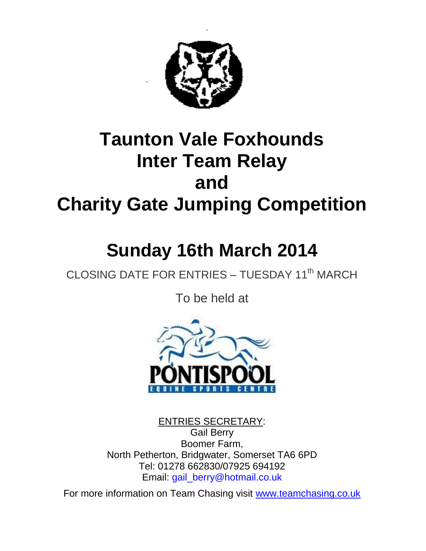

# **Taunton Vale Foxhounds Inter Team Relay and Charity Gate Jumping Competition**

# **Sunday 16th March 2014**

CLOSING DATE FOR ENTRIES - TUESDAY 11<sup>th</sup> MARCH

To be held at



ENTRIES SECRETARY: Gail Berry Boomer Farm, North Petherton, Bridgwater, Somerset TA6 6PD Tel: 01278 662830/07925 694192 Email: gail\_berry@hotmail.co.uk

For more information on Team Chasing visit [www.teamchasing.co.uk](http://www.teamchasing.co.uk/)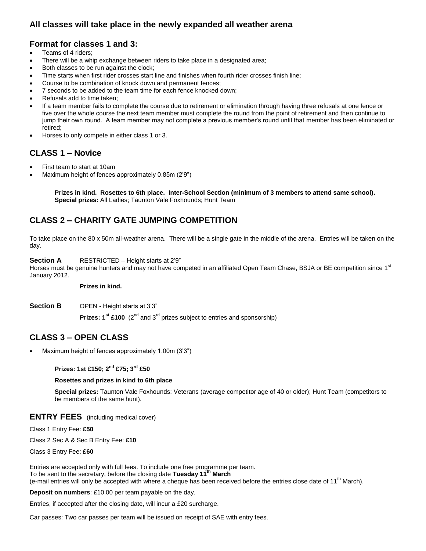# **All classes will take place in the newly expanded all weather arena**

# **Format for classes 1 and 3:**

- Teams of 4 riders;
- There will be a whip exchange between riders to take place in a designated area;
- Both classes to be run against the clock;
- Time starts when first rider crosses start line and finishes when fourth rider crosses finish line;
- Course to be combination of knock down and permanent fences;
- 7 seconds to be added to the team time for each fence knocked down;
- Refusals add to time taken;
- If a team member fails to complete the course due to retirement or elimination through having three refusals at one fence or five over the whole course the next team member must complete the round from the point of retirement and then continue to jump their own round. A team member may not complete a previous member's round until that member has been eliminated or retired;
- Horses to only compete in either class 1 or 3.

# **CLASS 1 – Novice**

- First team to start at 10am
- Maximum height of fences approximately 0.85m (2'9")

**Prizes in kind. Rosettes to 6th place. Inter-School Section (minimum of 3 members to attend same school). Special prizes:** All Ladies; Taunton Vale Foxhounds; Hunt Team

# **CLASS 2 – CHARITY GATE JUMPING COMPETITION**

To take place on the 80 x 50m all-weather arena. There will be a single gate in the middle of the arena. Entries will be taken on the day.

## **Section A** RESTRICTED – Height starts at 2'9"

Horses must be genuine hunters and may not have competed in an affiliated Open Team Chase, BSJA or BE competition since 1<sup>st</sup> January 2012.

### **Prizes in kind.**

**Section B** OPEN - Height starts at 3'3"

**Prizes:**  $1^{st}$  **£100**  $(2^{nd}$  and  $3^{rd}$  prizes subject to entries and sponsorship)

# **CLASS 3 – OPEN CLASS**

Maximum height of fences approximately 1.00m (3'3")

## **Prizes: 1st £150; 2nd £75; 3rd £50**

### **Rosettes and prizes in kind to 6th place**

**Special prizes:** Taunton Vale Foxhounds; Veterans (average competitor age of 40 or older); Hunt Team (competitors to be members of the same hunt).

## **ENTRY FEES** (including medical cover)

Class 1 Entry Fee: **£50**

Class 2 Sec A & Sec B Entry Fee: **£10**

Class 3 Entry Fee: **£60**

Entries are accepted only with full fees. To include one free programme per team. To be sent to the secretary, before the closing date **Tuesday 11 th March** (e-mail entries will only be accepted with where a cheque has been received before the entries close date of 11<sup>th</sup> March).

**Deposit on numbers**: £10.00 per team payable on the day.

Entries, if accepted after the closing date, will incur a £20 surcharge.

Car passes: Two car passes per team will be issued on receipt of SAE with entry fees.